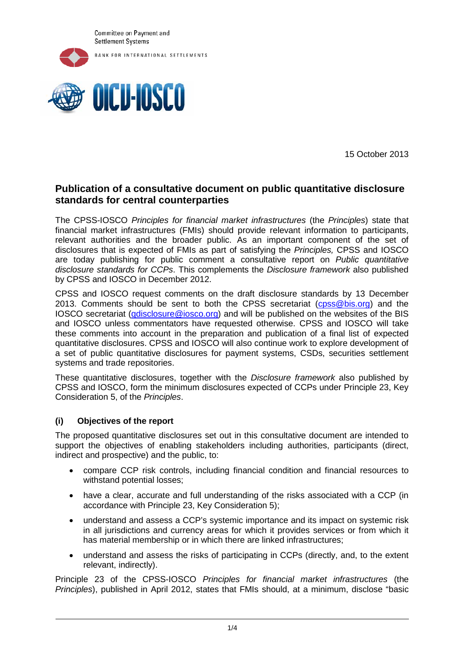



15 October 2013

# **Publication of a consultative document on public quantitative disclosure standards for central counterparties**

The CPSS-IOSCO *Principles for financial market infrastructures* (the *Principles*) state that financial market infrastructures (FMIs) should provide relevant information to participants, relevant authorities and the broader public. As an important component of the set of disclosures that is expected of FMIs as part of satisfying the *Principles,* CPSS and IOSCO are today publishing for public comment a consultative report on *Public quantitative disclosure standards for CCPs*. This complements the *Disclosure framework* also published by CPSS and IOSCO in December 2012.

CPSS and IOSCO request comments on the draft disclosure standards by 13 December 2013. Comments should be sent to both the CPSS secretariat [\(cpss@bis.org\)](mailto:cpss@bis.org) and the IOSCO secretariat [\(qdisclosure@iosco.org\)](mailto:qdisclosure@iosco.org) and will be published on the websites of the BIS and IOSCO unless commentators have requested otherwise. CPSS and IOSCO will take these comments into account in the preparation and publication of a final list of expected quantitative disclosures. CPSS and IOSCO will also continue work to explore development of a set of public quantitative disclosures for payment systems, CSDs, securities settlement systems and trade repositories.

These quantitative disclosures, together with the *Disclosure framework* also published by CPSS and IOSCO, form the minimum disclosures expected of CCPs under Principle 23, Key Consideration 5, of the *Principles*.

## **(i) Objectives of the report**

The proposed quantitative disclosures set out in this consultative document are intended to support the objectives of enabling stakeholders including authorities, participants (direct, indirect and prospective) and the public, to:

- compare CCP risk controls, including financial condition and financial resources to withstand potential losses;
- have a clear, accurate and full understanding of the risks associated with a CCP (in accordance with Principle 23, Key Consideration 5);
- understand and assess a CCP's systemic importance and its impact on systemic risk in all jurisdictions and currency areas for which it provides services or from which it has material membership or in which there are linked infrastructures;
- understand and assess the risks of participating in CCPs (directly, and, to the extent relevant, indirectly).

Principle 23 of the CPSS-IOSCO *Principles for financial market infrastructures* (the *Principles*), published in April 2012, states that FMIs should, at a minimum, disclose "basic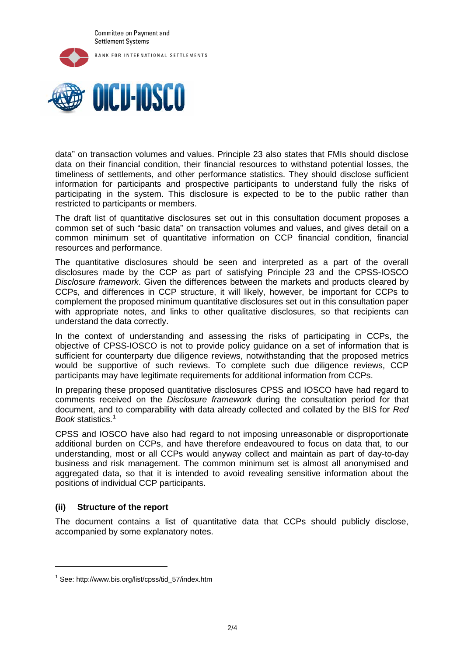



data" on transaction volumes and values. Principle 23 also states that FMIs should disclose data on their financial condition, their financial resources to withstand potential losses, the timeliness of settlements, and other performance statistics. They should disclose sufficient information for participants and prospective participants to understand fully the risks of participating in the system. This disclosure is expected to be to the public rather than restricted to participants or members.

The draft list of quantitative disclosures set out in this consultation document proposes a common set of such "basic data" on transaction volumes and values, and gives detail on a common minimum set of quantitative information on CCP financial condition, financial resources and performance.

The quantitative disclosures should be seen and interpreted as a part of the overall disclosures made by the CCP as part of satisfying Principle 23 and the CPSS-IOSCO *Disclosure framework*. Given the differences between the markets and products cleared by CCPs, and differences in CCP structure, it will likely, however, be important for CCPs to complement the proposed minimum quantitative disclosures set out in this consultation paper with appropriate notes, and links to other qualitative disclosures, so that recipients can understand the data correctly.

In the context of understanding and assessing the risks of participating in CCPs, the objective of CPSS-IOSCO is not to provide policy guidance on a set of information that is sufficient for counterparty due diligence reviews, notwithstanding that the proposed metrics would be supportive of such reviews. To complete such due diligence reviews, CCP participants may have legitimate requirements for additional information from CCPs.

In preparing these proposed quantitative disclosures CPSS and IOSCO have had regard to comments received on the *Disclosure framework* during the consultation period for that document, and to comparability with data already collected and collated by the BIS for *Red Book* statistics.[1](#page-1-0)

CPSS and IOSCO have also had regard to not imposing unreasonable or disproportionate additional burden on CCPs, and have therefore endeavoured to focus on data that, to our understanding, most or all CCPs would anyway collect and maintain as part of day-to-day business and risk management. The common minimum set is almost all anonymised and aggregated data, so that it is intended to avoid revealing sensitive information about the positions of individual CCP participants.

## **(ii) Structure of the report**

-

The document contains a list of quantitative data that CCPs should publicly disclose, accompanied by some explanatory notes.

<span id="page-1-0"></span><sup>1</sup> See: http://www.bis.org/list/cpss/tid\_57/index.htm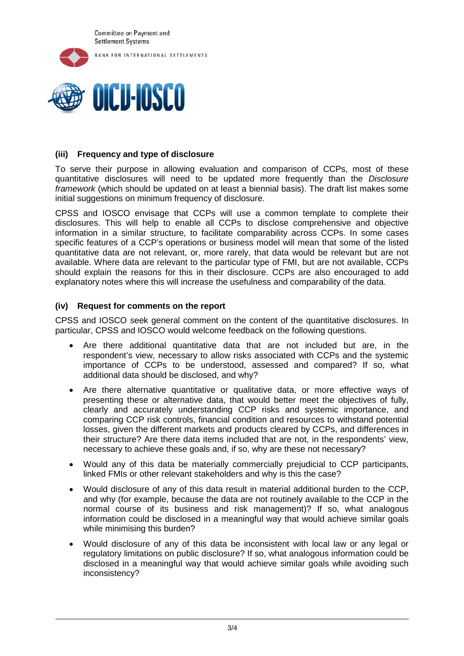



## **(iii) Frequency and type of disclosure**

To serve their purpose in allowing evaluation and comparison of CCPs, most of these quantitative disclosures will need to be updated more frequently than the *Disclosure framework* (which should be updated on at least a biennial basis). The draft list makes some initial suggestions on minimum frequency of disclosure.

CPSS and IOSCO envisage that CCPs will use a common template to complete their disclosures. This will help to enable all CCPs to disclose comprehensive and objective information in a similar structure, to facilitate comparability across CCPs. In some cases specific features of a CCP's operations or business model will mean that some of the listed quantitative data are not relevant, or, more rarely, that data would be relevant but are not available. Where data are relevant to the particular type of FMI, but are not available, CCPs should explain the reasons for this in their disclosure. CCPs are also encouraged to add explanatory notes where this will increase the usefulness and comparability of the data.

### **(iv) Request for comments on the report**

CPSS and IOSCO seek general comment on the content of the quantitative disclosures. In particular, CPSS and IOSCO would welcome feedback on the following questions.

- Are there additional quantitative data that are not included but are, in the respondent's view, necessary to allow risks associated with CCPs and the systemic importance of CCPs to be understood, assessed and compared? If so, what additional data should be disclosed, and why?
- Are there alternative quantitative or qualitative data, or more effective ways of presenting these or alternative data, that would better meet the objectives of fully, clearly and accurately understanding CCP risks and systemic importance, and comparing CCP risk controls, financial condition and resources to withstand potential losses, given the different markets and products cleared by CCPs, and differences in their structure? Are there data items included that are not, in the respondents' view, necessary to achieve these goals and, if so, why are these not necessary?
- Would any of this data be materially commercially prejudicial to CCP participants, linked FMIs or other relevant stakeholders and why is this the case?
- Would disclosure of any of this data result in material additional burden to the CCP, and why (for example, because the data are not routinely available to the CCP in the normal course of its business and risk management)? If so, what analogous information could be disclosed in a meaningful way that would achieve similar goals while minimising this burden?
- Would disclosure of any of this data be inconsistent with local law or any legal or regulatory limitations on public disclosure? If so, what analogous information could be disclosed in a meaningful way that would achieve similar goals while avoiding such inconsistency?